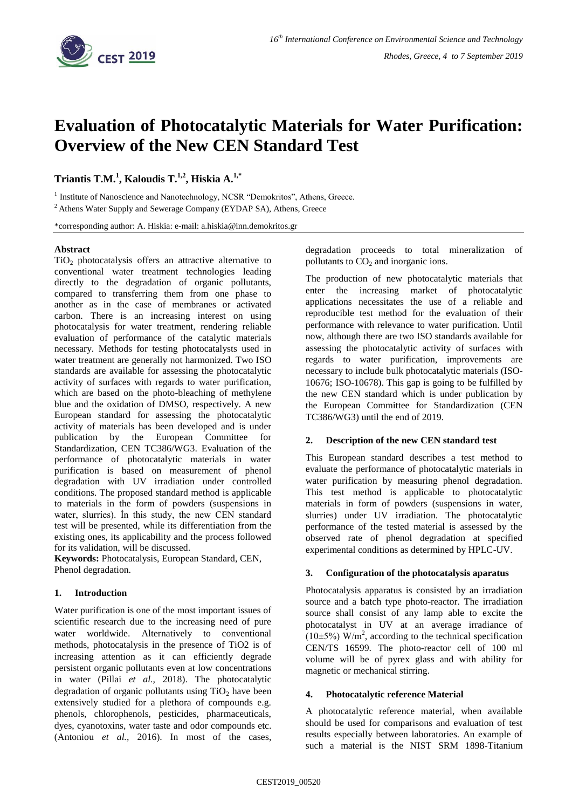

# **Evaluation of Photocatalytic Materials for Water Purification: Overview of the New CEN Standard Test**

**Triantis T.M.<sup>1</sup> , Kaloudis T.1,2, Hiskia A.1,\***

<sup>1</sup> Institute of Nanoscience and Nanotechnology, NCSR "Demokritos", Athens, Greece.

<sup>2</sup> Athens Water Supply and Sewerage Company (EYDAP SA), Athens, Greece

\*corresponding author: A. Hiskia: e-mail: a.hiskia@inn.demokritos.gr

#### **Abstract**

 $TiO<sub>2</sub>$  photocatalysis offers an attractive alternative to conventional water treatment technologies leading directly to the degradation of organic pollutants, compared to transferring them from one phase to another as in the case of membranes or activated carbon. There is an increasing interest on using photocatalysis for water treatment, rendering reliable evaluation of performance of the catalytic materials necessary. Methods for testing photocatalysts used in water treatment are generally not harmonized. Two ISO standards are available for assessing the photocatalytic activity of surfaces with regards to water purification, which are based on the photo-bleaching of methylene blue and the oxidation of DMSO, respectively. A new European standard for assessing the photocatalytic activity of materials has been developed and is under publication by the European Committee for Standardization, CEN TC386/WG3. Evaluation of the performance of photocatalytic materials in water purification is based on measurement of phenol degradation with UV irradiation under controlled conditions. The proposed standard method is applicable to materials in the form of powders (suspensions in water, slurries). İn this study, the new CEN standard test will be presented, while its differentiation from the existing ones, its applicability and the process followed for its validation, will be discussed.

**Keywords:** Photocatalysis, European Standard, CEN, Phenol degradation.

## **1. Introduction**

Water purification is one of the most important issues of scientific research due to the increasing need of pure water worldwide. Alternatively to conventional methods, photocatalysis in the presence of TiO2 is of increasing attention as it can efficiently degrade persistent organic pollutants even at low concentrations in water (Pillai *et al.,* 2018). The photocatalytic degradation of organic pollutants using  $TiO<sub>2</sub>$  have been extensively studied for a plethora of compounds e.g. phenols, chlorophenols, pesticides, pharmaceuticals, dyes, cyanotoxins, water taste and odor compounds etc. (Antoniou *et al.,* 2016). In most of the cases,

degradation proceeds to total mineralization of pollutants to  $CO<sub>2</sub>$  and inorganic ions.

The production of new photocatalytic materials that enter the increasing market of photocatalytic applications necessitates the use of a reliable and reproducible test method for the evaluation of their performance with relevance to water purification. Until now, although there are two ISO standards available for assessing the photocatalytic activity of surfaces with regards to water purification, improvements are necessary to include bulk photocatalytic materials (ISO-10676; ISO-10678). This gap is going to be fulfilled by the new CEN standard which is under publication by the European Committee for Standardization (CEN TC386/WG3) until the end of 2019.

#### **2. Description of the new CEN standard test**

This European standard describes a test method to evaluate the performance of photocatalytic materials in water purification by measuring phenol degradation. This test method is applicable to photocatalytic materials in form of powders (suspensions in water, slurries) under UV irradiation. The photocatalytic performance of the tested material is assessed by the observed rate of phenol degradation at specified experimental conditions as determined by HPLC-UV.

#### **3. Configuration of the photocatalysis aparatus**

Photocatalysis apparatus is consisted by an irradiation source and a batch type photo-reactor. The irradiation source shall consist of any lamp able to excite the photocatalyst in UV at an average irradiance of  $(10\pm5\%)$  W/m<sup>2</sup>, according to the technical specification CEN/TS 16599. The photo-reactor cell of 100 ml volume will be of pyrex glass and with ability for magnetic or mechanical stirring.

#### **4. Photocatalytic reference Material**

A photocatalytic reference material, when available should be used for comparisons and evaluation of test results especially between laboratories. An example of such a material is the NIST SRM 1898-Titanium